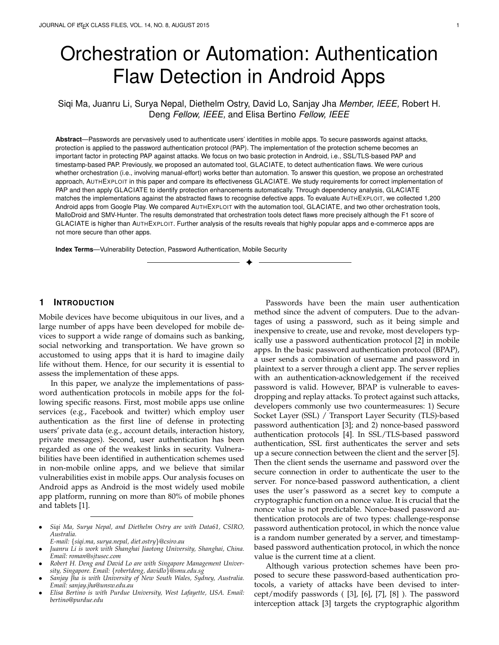# Orchestration or Automation: Authentication Flaw Detection in Android Apps

Siqi Ma, Juanru Li, Surya Nepal, Diethelm Ostry, David Lo, Sanjay Jha *Member, IEEE,* Robert H. Deng *Fellow, IEEE,* and Elisa Bertino *Fellow, IEEE*

**Abstract**—Passwords are pervasively used to authenticate users' identities in mobile apps. To secure passwords against attacks, protection is applied to the password authentication protocol (PAP). The implementation of the protection scheme becomes an important factor in protecting PAP against attacks. We focus on two basic protection in Android, i.e., SSL/TLS-based PAP and timestamp-based PAP. Previously, we proposed an automated tool, GLACIATE, to detect authentication flaws. We were curious whether orchestration (i.e., involving manual-effort) works better than automation. To answer this question, we propose an orchestrated approach, AUTHEXPLOIT in this paper and compare its effectiveness GLACIATE. We study requirements for correct implementation of PAP and then apply GLACIATE to identify protection enhancements automatically. Through dependency analysis, GLACIATE matches the implementations against the abstracted flaws to recognise defective apps. To evaluate AUTHEXPLOIT, we collected 1,200 Android apps from Google Play. We compared AUTHEXPLOIT with the automation tool, GLACIATE, and two other orchestration tools, MalloDroid and SMV-Hunter. The results demonstrated that orchestration tools detect flaws more precisely although the F1 score of GLACIATE is higher than AUTHEXPLOIT. Further analysis of the results reveals that highly popular apps and e-commerce apps are not more secure than other apps.

✦

**Index Terms**—Vulnerability Detection, Password Authentication, Mobile Security

## **1 INTRODUCTION**

Mobile devices have become ubiquitous in our lives, and a large number of apps have been developed for mobile devices to support a wide range of domains such as banking, social networking and transportation. We have grown so accustomed to using apps that it is hard to imagine daily life without them. Hence, for our security it is essential to assess the implementation of these apps.

In this paper, we analyze the implementations of password authentication protocols in mobile apps for the following specific reasons. First, most mobile apps use online services (e.g., Facebook and twitter) which employ user authentication as the first line of defense in protecting users' private data (e.g., account details, interaction history, private messages). Second, user authentication has been regarded as one of the weakest links in security. Vulnerabilities have been identified in authentication schemes used in non-mobile online apps, and we believe that similar vulnerabilities exist in mobile apps. Our analysis focuses on Android apps as Android is the most widely used mobile app platform, running on more than 80% of mobile phones and tablets [1].

Passwords have been the main user authentication method since the advent of computers. Due to the advantages of using a password, such as it being simple and inexpensive to create, use and revoke, most developers typically use a password authentication protocol [2] in mobile apps. In the basic password authentication protocol (BPAP), a user sends a combination of username and password in plaintext to a server through a client app. The server replies with an authentication-acknowledgement if the received password is valid. However, BPAP is vulnerable to eavesdropping and replay attacks. To protect against such attacks, developers commonly use two countermeasures: 1) Secure Socket Layer (SSL) / Transport Layer Security (TLS)-based password authentication [3]; and 2) nonce-based password authentication protocols [4]. In SSL/TLS-based password authentication, SSL first authenticates the server and sets up a secure connection between the client and the server [5]. Then the client sends the username and password over the secure connection in order to authenticate the user to the server. For nonce-based password authentication, a client uses the user's password as a secret key to compute a cryptographic function on a nonce value. It is crucial that the nonce value is not predictable. Nonce-based password authentication protocols are of two types: challenge-response password authentication protocol, in which the nonce value is a random number generated by a server, and timestampbased password authentication protocol, in which the nonce value is the current time at a client.

Although various protection schemes have been proposed to secure these password-based authentication protocols, a variety of attacks have been devised to intercept/modify passwords ( [3], [6], [7], [8] ). The password interception attack [3] targets the cryptographic algorithm

<sup>•</sup> *Siqi Ma, Surya Nepal, and Diethelm Ostry are with Data61, CSIRO, Australia.*

*E-mail:* {*siqi.ma, surya.nepal, diet.ostry*}*@csiro.au*

<sup>•</sup> *Juanru Li is work with Shanghai Jiaotong University, Shanghai, China. Email: roman@sjtusec.com*

<sup>•</sup> *Robert H. Deng and David Lo are with Singapore Management University, Singapore. Email:* {*robertdeng, davidlo*}*@smu.edu.sg*

<sup>•</sup> *Sanjay Jha is with University of New South Wales, Sydney, Australia. Email: sanjay.jha@unsw.edu.au*

<sup>•</sup> *Elisa Bertino is with Purdue University, West Lafayette, USA. Email: bertino@purdue.edu*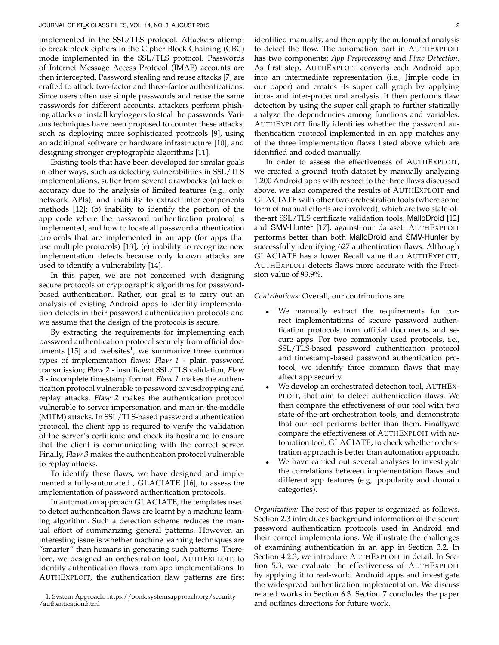implemented in the SSL/TLS protocol. Attackers attempt to break block ciphers in the Cipher Block Chaining (CBC) mode implemented in the SSL/TLS protocol. Passwords of Internet Message Access Protocol (IMAP) accounts are then intercepted. Password stealing and reuse attacks [7] are crafted to attack two-factor and three-factor authentications. Since users often use simple passwords and reuse the same passwords for different accounts, attackers perform phishing attacks or install keyloggers to steal the passwords. Various techniques have been proposed to counter these attacks, such as deploying more sophisticated protocols [9], using an additional software or hardware infrastructure [10], and designing stronger cryptographic algorithms [11].

Existing tools that have been developed for similar goals in other ways, such as detecting vulnerabilities in SSL/TLS implementations, suffer from several drawbacks: (a) lack of accuracy due to the analysis of limited features (e.g., only network APIs), and inability to extract inter-components methods [12]; (b) inability to identify the portion of the app code where the password authentication protocol is implemented, and how to locate all password authentication protocols that are implemented in an app (for apps that use multiple protocols) [13]; (c) inability to recognize new implementation defects because only known attacks are used to identify a vulnerability [14].

In this paper, we are not concerned with designing secure protocols or cryptographic algorithms for passwordbased authentication. Rather, our goal is to carry out an analysis of existing Android apps to identify implementation defects in their password authentication protocols and we assume that the design of the protocols is secure.

By extracting the requirements for implementing each password authentication protocol securely from official documents  $[15]$  and websites<sup>1</sup>, we summarize three common types of implementation flaws: Flaw 1 - plain password transmission; Flaw 2 - insufficient SSL/TLS validation; Flaw 3 - incomplete timestamp format. Flaw 1 makes the authentication protocol vulnerable to password eavesdropping and replay attacks. Flaw 2 makes the authentication protocol vulnerable to server impersonation and man-in-the-middle (MITM) attacks. In SSL/TLS-based password authentication protocol, the client app is required to verify the validation of the server's certificate and check its hostname to ensure that the client is communicating with the correct server. Finally, Flaw 3 makes the authentication protocol vulnerable to replay attacks.

To identify these flaws, we have designed and implemented a fully-automated , GLACIATE [16], to assess the implementation of password authentication protocols.

In automation approach GLACIATE, the templates used to detect authentication flaws are learnt by a machine learning algorithm. Such a detection scheme reduces the manual effort of summarizing general patterns. However, an interesting issue is whether machine learning techniques are "smarter" than humans in generating such patterns. Therefore, we designed an orchestration tool, AUTHEXPLOIT, to identify authentication flaws from app implementations. In AUTHEXPLOIT, the authentication flaw patterns are first identified manually, and then apply the automated analysis to detect the flow. The automation part in AUTHEXPLOIT has two components: *App Preprocessing* and *Flaw Detection*. As first step, AUTHEXPLOIT converts each Android app into an intermediate representation (i.e., Jimple code in our paper) and creates its super call graph by applying intra- and inter-procedural analysis. It then performs flaw detection by using the super call graph to further statically analyze the dependencies among functions and variables. AUTHEXPLOIT finally identifies whether the password authentication protocol implemented in an app matches any of the three implementation flaws listed above which are identified and coded manually.

In order to assess the effectiveness of AUTHEXPLOIT, we created a ground–truth dataset by manually analyzing 1,200 Android apps with respect to the three flaws discussed above. we also compared the results of AUTHEXPLOIT and GLACIATE with other two orchestration tools (where some form of manual efforts are involved), which are two state-ofthe-art SSL/TLS certificate validation tools, MalloDroid [12] and SMV-Hunter [17], against our dataset. AUTHEXPLOIT performs better than both MalloDroid and SMV-Hunter by successfully identifying 627 authentication flaws. Although GLACIATE has a lower Recall value than AUTHEXPLOIT, AUTHEXPLOIT detects flaws more accurate with the Precision value of 93.9%.

#### *Contributions:* Overall, our contributions are

- We manually extract the requirements for correct implementations of secure password authentication protocols from official documents and secure apps. For two commonly used protocols, i.e., SSL/TLS-based password authentication protocol and timestamp-based password authentication protocol, we identify three common flaws that may affect app security.
- We develop an orchestrated detection tool, AUTHEX-PLOIT, that aim to detect authentication flaws. We then compare the effectiveness of our tool with two state-of-the-art orchestration tools, and demonstrate that our tool performs better than them. Finally,we compare the effectiveness of AUTHEXPLOIT with automation tool, GLACIATE, to check whether orchestration approach is better than automation approach.
- We have carried out several analyses to investigate the correlations between implementation flaws and different app features (e.g,. popularity and domain categories).

*Organization:* The rest of this paper is organized as follows. Section 2.3 introduces background information of the secure password authentication protocols used in Android and their correct implementations. We illustrate the challenges of examining authentication in an app in Section 3.2. In Section 4.2.3, we introduce AUTHEXPLOIT in detail. In Section 5.3, we evaluate the effectiveness of AUTHEXPLOIT by applying it to real-world Android apps and investigate the widespread authentication implementation. We discuss related works in Section 6.3. Section 7 concludes the paper and outlines directions for future work.

<sup>1.</sup> System Approach: https://book.systemsapproach.org/security /authentication.html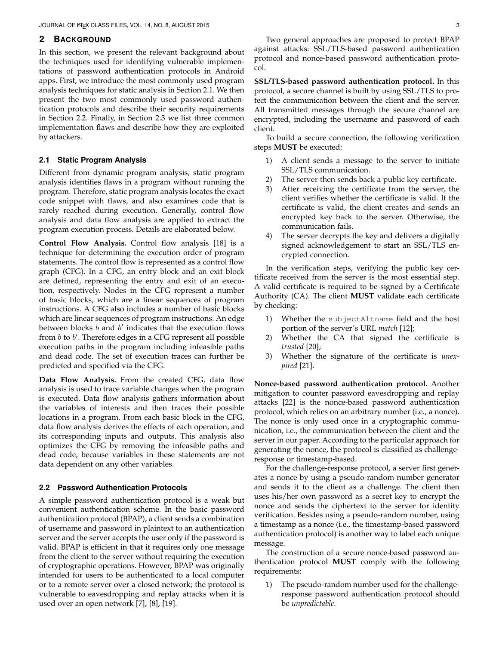## **2 BACKGROUND**

In this section, we present the relevant background about the techniques used for identifying vulnerable implementations of password authentication protocols in Android apps. First, we introduce the most commonly used program analysis techniques for static analysis in Section 2.1. We then present the two most commonly used password authentication protocols and describe their security requirements in Section 2.2. Finally, in Section 2.3 we list three common implementation flaws and describe how they are exploited by attackers.

## **2.1 Static Program Analysis**

Different from dynamic program analysis, static program analysis identifies flaws in a program without running the program. Therefore, static program analysis locates the exact code snippet with flaws, and also examines code that is rarely reached during execution. Generally, control flow analysis and data flow analysis are applied to extract the program execution process. Details are elaborated below.

**Control Flow Analysis.** Control flow analysis [18] is a technique for determining the execution order of program statements. The control flow is represented as a control flow graph (CFG). In a CFG, an entry block and an exit block are defined, representing the entry and exit of an execution, respectively. Nodes in the CFG represent a number of basic blocks, which are a linear sequences of program instructions. A CFG also includes a number of basic blocks which are linear sequences of program instructions. An edge between blocks  $b$  and  $b'$  indicates that the execution flows from  $b$  to  $b'$ . Therefore edges in a CFG represent all possible execution paths in the program including infeasible paths and dead code. The set of execution traces can further be predicted and specified via the CFG.

**Data Flow Analysis.** From the created CFG, data flow analysis is used to trace variable changes when the program is executed. Data flow analysis gathers information about the variables of interests and then traces their possible locations in a program. From each basic block in the CFG, data flow analysis derives the effects of each operation, and its corresponding inputs and outputs. This analysis also optimizes the CFG by removing the infeasible paths and dead code, because variables in these statements are not data dependent on any other variables.

## **2.2 Password Authentication Protocols**

A simple password authentication protocol is a weak but convenient authentication scheme. In the basic password authentication protocol (BPAP), a client sends a combination of username and password in plaintext to an authentication server and the server accepts the user only if the password is valid. BPAP is efficient in that it requires only one message from the client to the server without requiring the execution of cryptographic operations. However, BPAP was originally intended for users to be authenticated to a local computer or to a remote server over a closed network; the protocol is vulnerable to eavesdropping and replay attacks when it is used over an open network [7], [8], [19].

**SSL/TLS-based password authentication protocol.** In this protocol, a secure channel is built by using SSL/TLS to protect the communication between the client and the server. All transmitted messages through the secure channel are encrypted, including the username and password of each client.

To build a secure connection, the following verification steps **MUST** be executed:

- 1) A client sends a message to the server to initiate SSL/TLS communication.
- 2) The server then sends back a public key certificate.
- 3) After receiving the certificate from the server, the client verifies whether the certificate is valid. If the certificate is valid, the client creates and sends an encrypted key back to the server. Otherwise, the communication fails.
- 4) The server decrypts the key and delivers a digitally signed acknowledgement to start an SSL/TLS encrypted connection.

In the verification steps, verifying the public key certificate received from the server is the most essential step. A valid certificate is required to be signed by a Certificate Authority (CA). The client **MUST** validate each certificate by checking:

- 1) Whether the subjectAltname field and the host portion of the server's URL *match* [12];
- 2) Whether the CA that signed the certificate is *trusted* [20];
- 3) Whether the signature of the certificate is *unexpired* [21].

**Nonce-based password authentication protocol.** Another mitigation to counter password eavesdropping and replay attacks [22] is the nonce-based password authentication protocol, which relies on an arbitrary number (i.e., a nonce). The nonce is only used once in a cryptographic communication, i.e., the communication between the client and the server in our paper. According to the particular approach for generating the nonce, the protocol is classified as challengeresponse or timestamp-based.

For the challenge-response protocol, a server first generates a nonce by using a pseudo-random number generator and sends it to the client as a challenge. The client then uses his/her own password as a secret key to encrypt the nonce and sends the ciphertext to the server for identity verification. Besides using a pseudo-random number, using a timestamp as a nonce (i.e., the timestamp-based password authentication protocol) is another way to label each unique message.

The construction of a secure nonce-based password authentication protocol **MUST** comply with the following requirements:

1) The pseudo-random number used for the challengeresponse password authentication protocol should be *unpredictable*.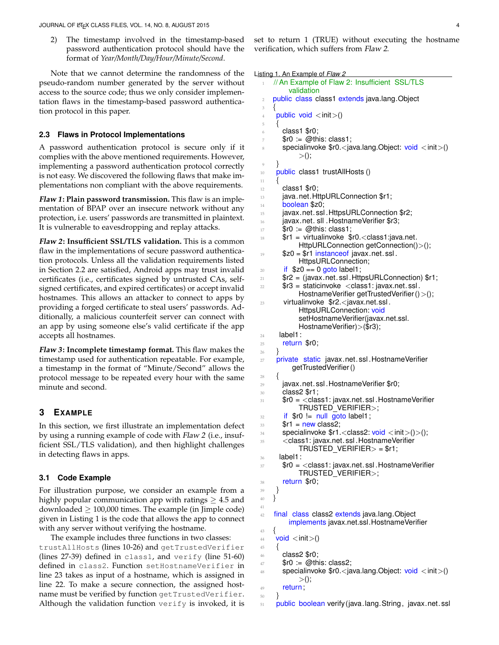2) The timestamp involved in the timestamp-based password authentication protocol should have the format of *Year/Month/Day/Hour/Minute/Second*.

Note that we cannot determine the randomness of the pseudo-random number generated by the server without access to the source code; thus we only consider implementation flaws in the timestamp-based password authentication protocol in this paper.

## **2.3 Flaws in Protocol Implementations**

A password authentication protocol is secure only if it complies with the above mentioned requirements. However, implementing a password authentication protocol correctly is not easy. We discovered the following flaws that make implementations non compliant with the above requirements.

**Flaw 1: Plain password transmission.** This flaw is an implementation of BPAP over an insecure network without any protection, i.e. users' passwords are transmitted in plaintext. It is vulnerable to eavesdropping and replay attacks.

**Flaw 2: Insufficient SSL/TLS validation.** This is a common flaw in the implementations of secure password authentication protocols. Unless all the validation requirements listed in Section 2.2 are satisfied, Android apps may trust invalid certificates (i.e., certificates signed by untrusted CAs, selfsigned certificates, and expired certificates) or accept invalid hostnames. This allows an attacker to connect to apps by providing a forged certificate to steal users' passwords. Additionally, a malicious counterfeit server can connect with an app by using someone else's valid certificate if the app accepts all hostnames.

**Flaw 3: Incomplete timestamp format.** This flaw makes the timestamp used for authentication repeatable. For example, a timestamp in the format of "Minute/Second" allows the protocol message to be repeated every hour with the same minute and second.

## **3 EXAMPLE**

In this section, we first illustrate an implementation defect by using a running example of code with Flaw 2 (i.e., insufficient SSL/TLS validation), and then highlight challenges in detecting flaws in apps.

## **3.1 Code Example**

For illustration purpose, we consider an example from a highly popular communication app with ratings  $\geq 4.5$  and downloaded  $\geq$  100,000 times. The example (in Jimple code) given in Listing 1 is the code that allows the app to connect with any server without verifying the hostname.

The example includes three functions in two classes: trustAllHosts (lines 10-26) and getTrustedVerifier (lines 27-39) defined in class1, and verify (line 51-60) defined in class2. Function setHostnameVerifier in line 23 takes as input of a hostname, which is assigned in line 22. To make a secure connection, the assigned hostname must be verified by function getTrustedVerifier. Although the validation function verify is invoked, it is

set to return 1 (TRUE) without executing the hostname verification, which suffers from Flaw 2.

Listing 1. An Example of *Flaw 2*

```
1 // An Example of Flaw 2: Insufficient SSL/TLS
        validation
2 public class class1 extends java.lang. Object
 3 {
 4 public void \langle init\rangle()
 5 {
      class1 $r0;
      $r0 := @this: class1;specialinvoke $r0.<i>java.lang.Object: void \langle init>()>();
9 }
10 public class1 trustAllHosts ()
11 {
12 class1 $r0;
13 java.net.HttpURLConnection $r1;
14 boolean $z0;
15 javax.net.ssl.HttpsURLConnection $r2;
16 javax.net. sll .HostnameVerifier $r3;
17 \qquad $r0 := @this: class1;
18 $r1 = virtualinvoke $r0. < class1: java.net.
           HttpURLConnection getConnection()>();
19 $z0 = $r1 instance of javax.net.ssl.
           HttpsURLConnection;
_{20} if $z0 == 0 goto label1;
21 $r2 = (javax.net. ssl .HttpsURLConnection) $r1;
22 $r3 = staticinvoke <class1: javax.net.ssl.
           HostnameVerifier getTrustedVerifier () > ();
23 virtualinvoke $r2.<javax.net.ssl .
           HttpsURLConnection: void
           setHostnameVerifier(javax.net.ssl.
           HostnameVerifier)>($r3);
24 label1:
25 return $r0;
26 }
27 private static javax.net.ssl.HostnameVerifier
         getTrustedVerifier ()
28 {
29 javax.net. ssl .HostnameVerifier $r0;
30 class2 $r1;
31 $r0 = <class1: javax.net.ssl. HostnameVerifier
           TRUSTED VERIFIER>;
32 if $r0 != null goto label1;33 $r1 = new class2;
34 specialinvoke $r1.<class2: void <init>()>();
35 <class1: javax.net. ssl .HostnameVerifier
           TRUSTED_VERIFIER > = $r1;36 label1:
37 $r0 = \ltclass1: javax.net.ssl. HostnameVerifier
           TRUSTED VERIFIER>;
38 return $r0;
39 }
40 }
41
42 final class class2 extends java.lang. Object
        implements javax.net.ssl.HostnameVerifier
43 {
44 void \langle init\rangle()
45 {
46 class2 $r0;
47 $r0 := @this: class2;
48 specialinvoke $r0.<java.lang.Object: void <init>()
           > ();
49 return;
50 }
51 public boolean verify (java.lang.String, javax.net.ssl
```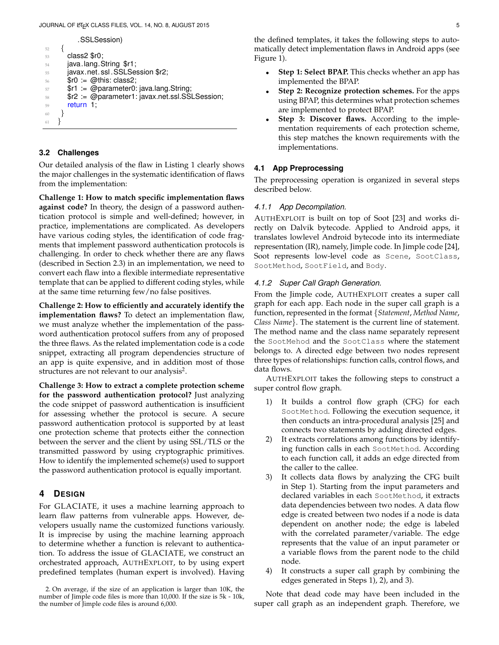```
.SSLSession)
52 {
53 class 2 $r0;
54 java.lang.String $r1;
55 javax.net.ssl.SSLSession $r2;
56 $r0 := @this: class2;
57 $r1 := @parameter0: java.lang.String;
58 $r2 := @parameter1: javax.net.ssl.SSLSession;
59 return 1;
60 }
61 }
```
## **3.2 Challenges**

Our detailed analysis of the flaw in Listing 1 clearly shows the major challenges in the systematic identification of flaws from the implementation:

**Challenge 1: How to match specific implementation flaws against code?** In theory, the design of a password authentication protocol is simple and well-defined; however, in practice, implementations are complicated. As developers have various coding styles, the identification of code fragments that implement password authentication protocols is challenging. In order to check whether there are any flaws (described in Section 2.3) in an implementation, we need to convert each flaw into a flexible intermediate representative template that can be applied to different coding styles, while at the same time returning few/no false positives.

**Challenge 2: How to efficiently and accurately identify the implementation flaws?** To detect an implementation flaw, we must analyze whether the implementation of the password authentication protocol suffers from any of proposed the three flaws. As the related implementation code is a code snippet, extracting all program dependencies structure of an app is quite expensive, and in addition most of those structures are not relevant to our analysis<sup>2</sup>.

**Challenge 3: How to extract a complete protection scheme for the password authentication protocol?** Just analyzing the code snippet of password authentication is insufficient for assessing whether the protocol is secure. A secure password authentication protocol is supported by at least one protection scheme that protects either the connection between the server and the client by using SSL/TLS or the transmitted password by using cryptographic primitives. How to identify the implemented scheme(s) used to support the password authentication protocol is equally important.

# **4 DESIGN**

For GLACIATE, it uses a machine learning approach to learn flaw patterns from vulnerable apps. However, developers usually name the customized functions variously. It is imprecise by using the machine learning approach to determine whether a function is relevant to authentication. To address the issue of GLACIATE, we construct an orchestrated approach, AUTHEXPLOIT, to by using expert predefined templates (human expert is involved). Having the defined templates, it takes the following steps to automatically detect implementation flaws in Android apps (see Figure 1).

- **Step 1: Select BPAP.** This checks whether an app has implemented the BPAP.
- **Step 2: Recognize protection schemes.** For the apps using BPAP, this determines what protection schemes are implemented to protect BPAP.
- **Step 3: Discover flaws.** According to the implementation requirements of each protection scheme, this step matches the known requirements with the implementations.

## **4.1 App Preprocessing**

The preprocessing operation is organized in several steps described below.

## *4.1.1 App Decompilation.*

AUTHEXPLOIT is built on top of Soot [23] and works directly on Dalvik bytecode. Applied to Android apps, it translates lowlevel Android bytecode into its intermediate representation (IR), namely, Jimple code. In Jimple code [24], Soot represents low-level code as Scene, SootClass, SootMethod, SootField, and Body.

## *4.1.2 Super Call Graph Generation.*

From the Jimple code, AUTHEXPLOIT creates a super call graph for each app. Each node in the super call graph is a function, represented in the format {*Statement*, *Method Name*, *Class Name*}. The statement is the current line of statement. The method name and the class name separately represent the SootMehod and the SootClass where the statement belongs to. A directed edge between two nodes represent three types of relationships: function calls, control flows, and data flows.

AUTHEXPLOIT takes the following steps to construct a super control flow graph.

- 1) It builds a control flow graph (CFG) for each SootMethod. Following the execution sequence, it then conducts an intra-procedural analysis [25] and connects two statements by adding directed edges.
- 2) It extracts correlations among functions by identifying function calls in each SootMethod. According to each function call, it adds an edge directed from the caller to the callee.
- 3) It collects data flows by analyzing the CFG built in Step 1). Starting from the input parameters and declared variables in each SootMethod, it extracts data dependencies between two nodes. A data flow edge is created between two nodes if a node is data dependent on another node; the edge is labeled with the correlated parameter/variable. The edge represents that the value of an input parameter or a variable flows from the parent node to the child node.
- 4) It constructs a super call graph by combining the edges generated in Steps 1), 2), and 3).

Note that dead code may have been included in the super call graph as an independent graph. Therefore, we

<sup>2.</sup> On average, if the size of an application is larger than 10K, the number of Jimple code files is more than 10,000. If the size is 5k - 10k, the number of Jimple code files is around 6,000.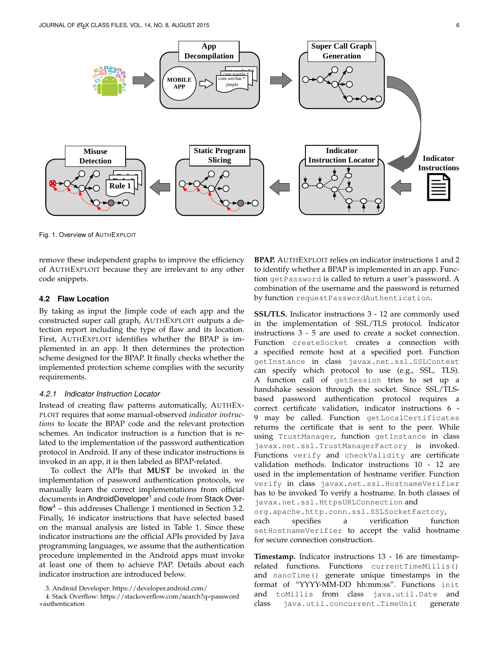

Fig. 1. Overview of AUTHEXPLOIT

remove these independent graphs to improve the efficiency of AUTHEXPLOIT because they are irrelevant to any other code snippets.

## **4.2 Flaw Location**

By taking as input the Jimple code of each app and the constructed super call graph, AUTHEXPLOIT outputs a detection report including the type of flaw and its location. First, AUTHEXPLOIT identifies whether the BPAP is implemented in an app. It then determines the protection scheme designed for the BPAP. It finally checks whether the implemented protection scheme complies with the security requirements.

## *4.2.1 Indicator Instruction Locator*

Instead of creating flaw patterns automatically, AUTHEX-PLOIT requires that some manual-observed *indicator instructions* to locate the BPAP code and the relevant protection schemes. An indicator instruction is a function that is related to the implementation of the password authentication protocol in Android. If any of these indicator instructions is invoked in an app, it is then labeled as BPAP-related.

To collect the APIs that **MUST** be invoked in the implementation of password authentication protocols, we manually learn the correct implementations from official documents in AndroidDeveloper $^3$  and code from Stack Overflow<sup>4</sup> – this addresses Challenge 1 mentioned in Section 3.2. Finally, 16 indicator instructions that have selected based on the manual analysis are listed in Table 1. Since these indicator instructions are the official APIs provided by Java programming languages, we assume that the authentication procedure implemented in the Android apps must invoke at least one of them to achieve PAP. Details about each indicator instruction are introduced below.

3. Android Developer: https://developer.android.com/

4. Stack Overflow: https://stackoverflow.com/search?q=password +authentication

**BPAP.** AUTHEXPLOIT relies on indicator instructions 1 and 2 to identify whether a BPAP is implemented in an app. Function getPassword is called to return a user's password. A combination of the username and the password is returned by function requestPasswordAuthentication.

**SSL/TLS.** Indicator instructions 3 - 12 are commonly used in the implementation of SSL/TLS protocol. Indicator instructions 3 - 5 are used to create a socket connection. Function createSocket creates a connection with a specified remote host at a specified port. Function getInstance in class javax.net.ssl.SSLContext can specify which protocol to use (e.g., SSL, TLS). A function call of getSession tries to set up a handshake session through the socket. Since SSL/TLSbased password authentication protocol requires a correct certificate validation, indicator instructions 6 - 9 may be called. Function getLocalCertificates returns the certificate that is sent to the peer. While using TrustManager, function getInstance in class javax.net.ssl.TrustManagerFactory is invoked. Functions verify and checkValidity are certificate validation methods. Indicator instructions 10 - 12 are used in the implementation of hostname verifier. Function verify in class javax.net.ssl.HostnameVerifier has to be invoked To verify a hostname. In both classes of javax.net.ssl.HttpsURLConnection and

org.apache.http.conn.ssl.SSLSocketFactory, each specifies a verification function setHostnameVerifier to accept the valid hostname for secure connection construction.

**Timestamp.** Indicator instructions 13 - 16 are timestamprelated functions. Functions currentTimeMillis() and nanoTime() generate unique timestamps in the format of "YYYY-MM-DD hh:mm:ss". Functions init and toMillis from class java.util.Date and class java.util.concurrent.TimeUnit generate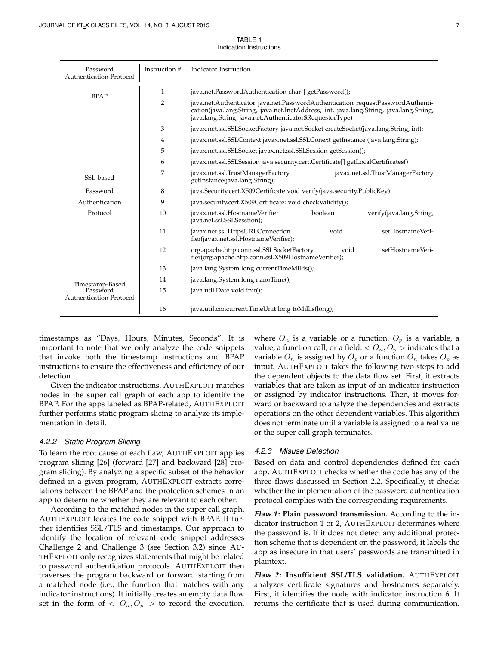| Password<br><b>Authentication Protocol</b> | Instruction #                                                                         | Indicator Instruction                                                                                                                                                                                                                  |  |  |  |  |  |
|--------------------------------------------|---------------------------------------------------------------------------------------|----------------------------------------------------------------------------------------------------------------------------------------------------------------------------------------------------------------------------------------|--|--|--|--|--|
| <b>BPAP</b>                                | 1                                                                                     | java.net.PasswordAuthentication char[] getPassword();                                                                                                                                                                                  |  |  |  |  |  |
|                                            | 2                                                                                     | java.net.Authenticator java.net.PasswordAuthentication requestPasswordAuthenti-<br>cation(java.lang.String, java.net.InetAddress, int, java.lang.String, java.lang.String,<br>java.lang.String, java.net.Authenticator\$RequestorType) |  |  |  |  |  |
|                                            | 3                                                                                     | javax.net.ssl.SSLSocketFactory java.net.Socket createSocket(java.lang.String, int);                                                                                                                                                    |  |  |  |  |  |
|                                            | javax.net.ssl.SSLContext javax.net.ssl.SSLConext getInstance (java.lang.String);<br>4 |                                                                                                                                                                                                                                        |  |  |  |  |  |
|                                            | 5                                                                                     | javax.net.ssl.SSLSocket javax.net.ssl.SSLSession getSession();                                                                                                                                                                         |  |  |  |  |  |
|                                            | 6                                                                                     | javax.net.ssl.SSLSession java.security.cert.Certificate[] getLocalCertificates()                                                                                                                                                       |  |  |  |  |  |
| SSL-based                                  | 7                                                                                     | javax.net.ssl.TrustManagerFactory<br>javax.net.ssl.TrustManagerFactory<br>getInstance(java.lang.String);                                                                                                                               |  |  |  |  |  |
| Password                                   | 8                                                                                     | java.Security.cert.X509Certificate void verify(java.security.PublicKey)                                                                                                                                                                |  |  |  |  |  |
| Authentication                             | 9                                                                                     | java.security.cert.X509Certificate: void checkValidity();                                                                                                                                                                              |  |  |  |  |  |
| Protocol                                   | 10                                                                                    | boolean<br>javax.net.ssl.HostnameVerifier<br>verify(java.lang.String,<br>java.net.ssl.SSLSesstion);                                                                                                                                    |  |  |  |  |  |
|                                            | 11                                                                                    | javax.net.ssl.HttpsURLConnection<br>setHostnameVeri-<br>void<br>fier(javax.net.ssl.HostnameVerifier);                                                                                                                                  |  |  |  |  |  |
|                                            | 12                                                                                    | org.apache.http.conn.ssl.SSLSocketFactory<br>setHostnameVeri-<br>void<br>fier(org.apache.http.conn.ssl.X509HostnameVerifier);                                                                                                          |  |  |  |  |  |
| Timestamp-Based                            | 13                                                                                    | java.lang.System long currentTimeMillis();                                                                                                                                                                                             |  |  |  |  |  |
|                                            | 14                                                                                    | java.lang.System long nanoTime();                                                                                                                                                                                                      |  |  |  |  |  |
| Password<br><b>Authentication Protocol</b> | 15                                                                                    | java.util.Date void init();                                                                                                                                                                                                            |  |  |  |  |  |
|                                            | 16                                                                                    | java.util.concurrent.TimeUnit long toMillis(long);                                                                                                                                                                                     |  |  |  |  |  |

TABLE 1 Indication Instructions

timestamps as "Days, Hours, Minutes, Seconds". It is important to note that we only analyze the code snippets that invoke both the timestamp instructions and BPAP instructions to ensure the effectiveness and efficiency of our detection.

Given the indicator instructions, AUTHEXPLOIT matches nodes in the super call graph of each app to identify the BPAP. For the apps labeled as BPAP-related, AUTHEXPLOIT further performs static program slicing to analyze its implementation in detail.

#### *4.2.2 Static Program Slicing*

To learn the root cause of each flaw, AUTHEXPLOIT applies program slicing [26] (forward [27] and backward [28] program slicing). By analyzing a specific subset of the behavior defined in a given program, AUTHEXPLOIT extracts correlations between the BPAP and the protection schemes in an app to determine whether they are relevant to each other.

According to the matched nodes in the super call graph, AUTHEXPLOIT locates the code snippet with BPAP. It further identifies SSL/TLS and timestamps. Our approach to identify the location of relevant code snippet addresses Challenge 2 and Challenge 3 (see Section 3.2) since AU-THEXPLOIT only recognizes statements that might be related to password authentication protocols. AUTHEXPLOIT then traverses the program backward or forward starting from a matched node (i.e., the function that matches with any indicator instructions). It initially creates an empty data flow set in the form of  $\langle O_n, O_p \rangle$  to record the execution, where  $O_n$  is a variable or a function.  $O_p$  is a variable, a value, a function call, or a field.  $\langle O_n, O_p \rangle$  indicates that a variable  $O_n$  is assigned by  $O_p$  or a function  $O_n$  takes  $O_p$  as input. AUTHEXPLOIT takes the following two steps to add the dependent objects to the data flow set. First, it extracts variables that are taken as input of an indicator instruction or assigned by indicator instructions. Then, it moves forward or backward to analyze the dependencies and extracts operations on the other dependent variables. This algorithm does not terminate until a variable is assigned to a real value or the super call graph terminates.

#### *4.2.3 Misuse Detection*

Based on data and control dependencies defined for each app, AUTHEXPLOIT checks whether the code has any of the three flaws discussed in Section 2.2. Specifically, it checks whether the implementation of the password authentication protocol complies with the corresponding requirements.

**Flaw 1: Plain password transmission.** According to the indicator instruction 1 or 2, AUTHEXPLOIT determines where the password is. If it does not detect any additional protection scheme that is dependent on the password, it labels the app as insecure in that users' passwords are transmitted in plaintext.

**Flaw 2: Insufficient SSL/TLS validation.** AUTHEXPLOIT analyzes certificate signatures and hostnames separately. First, it identifies the node with indicator instruction 6. It returns the certificate that is used during communication.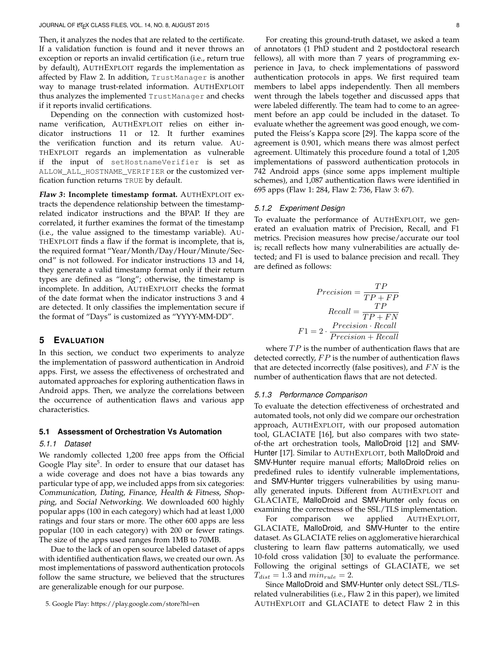Then, it analyzes the nodes that are related to the certificate. If a validation function is found and it never throws an exception or reports an invalid certification (i.e., return true by default), AUTHEXPLOIT regards the implementation as affected by Flaw 2. In addition, TrustManager is another way to manage trust-related information. AUTHEXPLOIT thus analyzes the implemented TrustManager and checks if it reports invalid certifications.

Depending on the connection with customized hostname verification, AUTHEXPLOIT relies on either indicator instructions 11 or 12. It further examines the verification function and its return value. AU-THEXPLOIT regards an implementation as vulnerable if the input of setHostnameVerifier is set as ALLOW\_ALL\_HOSTNAME\_VERIFIER or the customized verfication function returns TRUE by default.

**Flaw 3: Incomplete timestamp format.** AUTHEXPLOIT extracts the dependence relationship between the timestamprelated indicator instructions and the BPAP. If they are correlated, it further examines the format of the timestamp (i.e., the value assigned to the timestamp variable). AU-THEXPLOIT finds a flaw if the format is incomplete, that is, the required format "Year/Month/Day/Hour/Minute/Second" is not followed. For indicator instructions 13 and 14, they generate a valid timestamp format only if their return types are defined as "long"; otherwise, the timestamp is incomplete. In addition, AUTHEXPLOIT checks the format of the date format when the indicator instructions 3 and 4 are detected. It only classifies the implementation secure if the format of "Days" is customized as "YYYY-MM-DD".

## **5 EVALUATION**

In this section, we conduct two experiments to analyze the implementation of password authentication in Android apps. First, we assess the effectiveness of orchestrated and automated approaches for exploring authentication flaws in Android apps. Then, we analyze the correlations between the occurrence of authentication flaws and various app characteristics.

#### **5.1 Assessment of Orchestration Vs Automation**

#### *5.1.1 Dataset*

We randomly collected 1,200 free apps from the Official Google Play site<sup>5</sup>. In order to ensure that our dataset has a wide coverage and does not have a bias towards any particular type of app, we included apps from six categories: Communication, Dating, Finance, Health & Fitness, Shopping, and Social Networking. We downloaded 600 highly popular apps (100 in each category) which had at least 1,000 ratings and four stars or more. The other 600 apps are less popular (100 in each category) with 200 or fewer ratings. The size of the apps used ranges from 1MB to 70MB.

Due to the lack of an open source labeled dataset of apps with identified authentication flaws, we created our own. As most implementations of password authentication protocols follow the same structure, we believed that the structures are generalizable enough for our purpose.

For creating this ground-truth dataset, we asked a team of annotators (1 PhD student and 2 postdoctoral research fellows), all with more than 7 years of programming experience in Java, to check implementations of password authentication protocols in apps. We first required team members to label apps independently. Then all members went through the labels together and discussed apps that were labeled differently. The team had to come to an agree-

ment before an app could be included in the dataset. To evaluate whether the agreement was good enough, we computed the Fleiss's Kappa score [29]. The kappa score of the agreement is 0.901, which means there was almost perfect agreement. Ultimately this procedure found a total of 1,205 implementations of password authentication protocols in 742 Android apps (since some apps implement multiple schemes), and 1,087 authentication flaws were identified in 695 apps (Flaw 1: 284, Flaw 2: 736, Flaw 3: 67).

#### *5.1.2 Experiment Design*

To evaluate the performance of AUTHEXPLOIT, we generated an evaluation matrix of Precision, Recall, and F1 metrics. Precision measures how precise/accurate our tool is; recall reflects how many vulnerabilities are actually detected; and F1 is used to balance precision and recall. They are defined as follows:

$$
Precision = \frac{TP}{TP + FP}
$$

$$
Recall = \frac{TP}{TP + FN}
$$

$$
F1 = 2 \cdot \frac{Precision \cdot Recall}{Precision + Recall}
$$

where  $TP$  is the number of authentication flaws that are detected correctly,  $FP$  is the number of authentication flaws that are detected incorrectly (false positives), and  $FN$  is the number of authentication flaws that are not detected.

#### *5.1.3 Performance Comparison*

To evaluate the detection effectiveness of orchestrated and automated tools, not only did we compare our orchestration approach, AUTHEXPLOIT, with our proposed automation tool, GLACIATE [16], but also compares with two stateof-the art orchestration tools, MalloDroid [12] and SMV-Hunter [17]. Similar to AUTHEXPLOIT, both MalloDroid and SMV-Hunter require manual efforts; MalloDroid relies on predefined rules to identify vulnerable implementations, and SMV-Hunter triggers vulnerabilities by using manually generated inputs. Different from AUTHEXPLOIT and GLACIATE, MalloDroid and SMV-Hunter only focus on examining the correctness of the SSL/TLS implementation.

For comparison we applied AUTHEXPLOIT, GLACIATE, MalloDroid, and SMV-Hunter to the entire dataset. As GLACIATE relies on agglomerative hierarchical clustering to learn flaw patterns automatically, we used 10-fold cross validation [30] to evaluate the performance. Following the original settings of GLACIATE, we set  $T_{dist} = 1.3$  and  $min_{rule} = 2$ .

Since MalloDroid and SMV-Hunter only detect SSL/TLSrelated vulnerabilities (i.e., Flaw 2 in this paper), we limited AUTHEXPLOIT and GLACIATE to detect Flaw 2 in this

<sup>5.</sup> Google Play: https://play.google.com/store?hl=en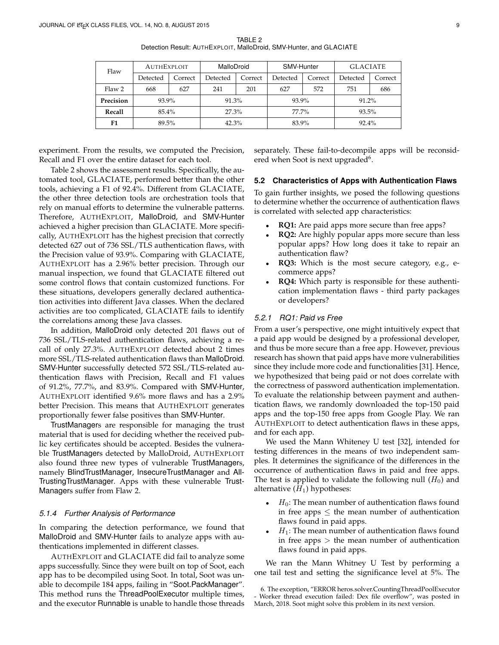TABLE 2 Detection Result: AUTHEXPLOIT, MalloDroid, SMV-Hunter, and GLACIATE

| Flaw      | <b>AUTHEXPLOIT</b> |         | MalloDroid |         | SMV-Hunter |         | <b>GLACIATE</b> |         |
|-----------|--------------------|---------|------------|---------|------------|---------|-----------------|---------|
|           | Detected           | Correct | Detected   | Correct | Detected   | Correct | Detected        | Correct |
| Flaw 2    | 668                | 627     | 241        | 201     | 627        | 572     | 751             | 686     |
| Precision | 93.9%              |         | 91.3%      |         | 93.9%      |         | $91.2\%$        |         |
| Recall    | $85.4\%$           |         | 27.3%      |         | 77.7%      |         | 93.5%           |         |
| F1        | 89.5%              |         | 42.3%      |         | 83.9%      |         | 92.4%           |         |

experiment. From the results, we computed the Precision, Recall and F1 over the entire dataset for each tool.

Table 2 shows the assessment results. Specifically, the automated tool, GLACIATE, performed better than the other tools, achieving a F1 of 92.4%. Different from GLACIATE, the other three detection tools are orchestration tools that rely on manual efforts to determine the vulnerable patterns. Therefore, AUTHEXPLOIT, MalloDroid, and SMV-Hunter achieved a higher precision than GLACIATE. More specifically, AUTHEXPLOIT has the highest precision that correctly detected 627 out of 736 SSL/TLS authentication flaws, with the Precision value of 93.9%. Comparing with GLACIATE, AUTHEXPLOIT has a 2.96% better precision. Through our manual inspection, we found that GLACIATE filtered out some control flows that contain customized functions. For these situations, developers generally declared authentication activities into different Java classes. When the declared activities are too complicated, GLACIATE fails to identify the correlations among these Java classes.

In addition, MalloDroid only detected 201 flaws out of 736 SSL/TLS-related authentication flaws, achieving a recall of only 27.3%. AUTHEXPLOIT detected about 2 times more SSL/TLS-related authentication flaws than MalloDroid. SMV-Hunter successfully detected 572 SSL/TLS-related authentication flaws with Precision, Recall and F1 values of 91.2%, 77.7%, and 83.9%. Compared with SMV-Hunter, AUTHEXPLOIT identified 9.6% more flaws and has a 2.9% better Precision. This means that AUTHEXPLOIT generates proportionally fewer false positives than SMV-Hunter.

TrustManagers are responsible for managing the trust material that is used for deciding whether the received public key certificates should be accepted. Besides the vulnerable TrustManagers detected by MalloDroid, AUTHEXPLOIT also found three new types of vulnerable TrustManagers, namely BlindTrustManager, InsecureTrustManager and All-TrustingTrustManager. Apps with these vulnerable Trust-Managers suffer from Flaw 2.

#### *5.1.4 Further Analysis of Performance*

In comparing the detection performance, we found that MalloDroid and SMV-Hunter fails to analyze apps with authentications implemented in different classes.

AUTHEXPLOIT and GLACIATE did fail to analyze some apps successfully. Since they were built on top of Soot, each app has to be decompiled using Soot. In total, Soot was unable to decompile 184 apps, failing in "Soot.PackManager". This method runs the ThreadPoolExecutor multiple times, and the executor Runnable is unable to handle those threads separately. These fail-to-decompile apps will be reconsidered when Soot is next upgraded<sup>6</sup>.

#### **5.2 Characteristics of Apps with Authentication Flaws**

To gain further insights, we posed the following questions to determine whether the occurrence of authentication flaws is correlated with selected app characteristics:

- **RQ1:** Are paid apps more secure than free apps?
- **RQ2:** Are highly popular apps more secure than less popular apps? How long does it take to repair an authentication flaw?
- **RQ3:** Which is the most secure category, e.g., ecommerce apps?
- **RQ4:** Which party is responsible for these authentication implementation flaws - third party packages or developers?

## *5.2.1 RQ1: Paid vs Free*

From a user's perspective, one might intuitively expect that a paid app would be designed by a professional developer, and thus be more secure than a free app. However, previous research has shown that paid apps have more vulnerabilities since they include more code and functionalities [31]. Hence, we hypothesized that being paid or not does correlate with the correctness of password authentication implementation. To evaluate the relationship between payment and authentication flaws, we randomly downloaded the top-150 paid apps and the top-150 free apps from Google Play. We ran AUTHEXPLOIT to detect authentication flaws in these apps, and for each app.

We used the Mann Whiteney U test [32], intended for testing differences in the means of two independent samples. It determines the significance of the differences in the occurrence of authentication flaws in paid and free apps. The test is applied to validate the following null  $(H_0)$  and alternative  $(H_1)$  hypotheses:

- $H_0$ : The mean number of authentication flaws found in free apps  $\leq$  the mean number of authentication flaws found in paid apps.
- $H_1$ : The mean number of authentication flaws found in free apps  $>$  the mean number of authentication flaws found in paid apps.

We ran the Mann Whitney U Test by performing a one tail test and setting the significance level at 5%. The

<sup>6.</sup> The exception, "ERROR heros.solver.CountingThreadPoolExecutor - Worker thread execution failed: Dex file overflow", was posted in March, 2018. Soot might solve this problem in its next version.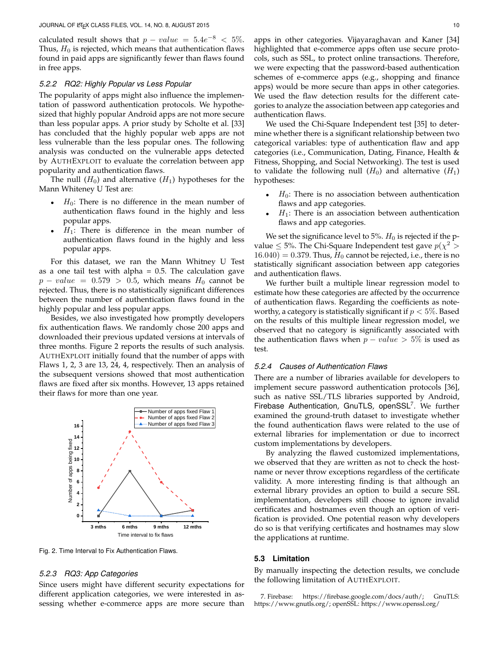calculated result shows that  $p-value = 5.4e^{-8} < 5\%$ . Thus,  $H_0$  is rejected, which means that authentication flaws found in paid apps are significantly fewer than flaws found in free apps.

## *5.2.2 RQ2: Highly Popular vs Less Popular*

The popularity of apps might also influence the implementation of password authentication protocols. We hypothesized that highly popular Android apps are not more secure than less popular apps. A prior study by Scholte et al. [33] has concluded that the highly popular web apps are not less vulnerable than the less popular ones. The following analysis was conducted on the vulnerable apps detected by AUTHEXPLOIT to evaluate the correlation between app popularity and authentication flaws.

The null  $(H_0)$  and alternative  $(H_1)$  hypotheses for the Mann Whiteney U Test are:

- $H_0$ : There is no difference in the mean number of authentication flaws found in the highly and less popular apps.
- $H_1$ : There is difference in the mean number of authentication flaws found in the highly and less popular apps.

For this dataset, we ran the Mann Whitney U Test as a one tail test with alpha  $= 0.5$ . The calculation gave  $p - value = 0.579 > 0.5$ , which means  $H_0$  cannot be rejected. Thus, there is no statistically significant differences between the number of authentication flaws found in the highly popular and less popular apps.

Besides, we also investigated how promptly developers fix authentication flaws. We randomly chose 200 apps and downloaded their previous updated versions at intervals of three months. Figure 2 reports the results of such analysis. AUTHEXPLOIT initially found that the number of apps with Flaws 1, 2, 3 are 13, 24, 4, respectively. Then an analysis of the subsequent versions showed that most authentication flaws are fixed after six months. However, 13 apps retained their flaws for more than one year.



Fig. 2. Time Interval to Fix Authentication Flaws.

#### *5.2.3 RQ3: App Categories*

Since users might have different security expectations for different application categories, we were interested in assessing whether e-commerce apps are more secure than

apps in other categories. Vijayaraghavan and Kaner [34] highlighted that e-commerce apps often use secure protocols, such as SSL, to protect online transactions. Therefore, we were expecting that the password-based authentication schemes of e-commerce apps (e.g., shopping and finance apps) would be more secure than apps in other categories. We used the flaw detection results for the different categories to analyze the association between app categories and authentication flaws.

We used the Chi-Square Independent test [35] to determine whether there is a significant relationship between two categorical variables: type of authentication flaw and app categories (i.e., Communication, Dating, Finance, Health & Fitness, Shopping, and Social Networking). The test is used to validate the following null  $(H_0)$  and alternative  $(H_1)$ hypotheses:

- $H_0$ : There is no association between authentication flaws and app categories.
- $H_1$ : There is an association between authentication flaws and app categories.

We set the significance level to 5%.  $H_0$  is rejected if the pvalue  $\leq$  5%. The Chi-Square Independent test gave  $p(\chi^2 >$  $16.040$ ) = 0.379. Thus,  $H_0$  cannot be rejected, i.e., there is no statistically significant association between app categories and authentication flaws.

We further built a multiple linear regression model to estimate how these categories are affected by the occurrence of authentication flaws. Regarding the coefficients as noteworthy, a category is statistically significant if  $p < 5\%$ . Based on the results of this multiple linear regression model, we observed that no category is significantly associated with the authentication flaws when  $p - value > 5\%$  is used as test.

#### *5.2.4 Causes of Authentication Flaws*

There are a number of libraries available for developers to implement secure password authentication protocols [36], such as native SSL/TLS libraries supported by Android, Firebase Authentication, GnuTLS, openSSL<sup>7</sup>. We further examined the ground-truth dataset to investigate whether the found authentication flaws were related to the use of external libraries for implementation or due to incorrect custom implementations by developers.

By analyzing the flawed customized implementations, we observed that they are written as not to check the hostname or never throw exceptions regardless of the certificate validity. A more interesting finding is that although an external library provides an option to build a secure SSL implementation, developers still choose to ignore invalid certificates and hostnames even though an option of verification is provided. One potential reason why developers do so is that verifying certificates and hostnames may slow the applications at runtime.

## **5.3 Limitation**

By manually inspecting the detection results, we conclude the following limitation of AUTHEXPLOIT.

7. Firebase: https://firebase.google.com/docs/auth/; GnuTLS: https://www.gnutls.org/; openSSL: https://www.openssl.org/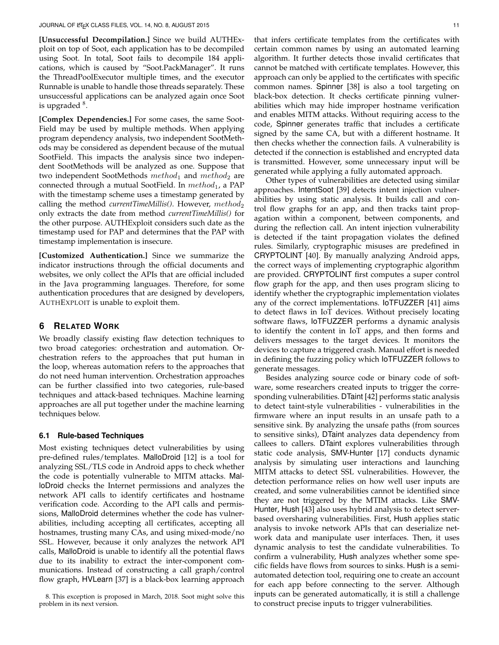**[Unsuccessful Decompilation.]** Since we build AUTHExploit on top of Soot, each application has to be decompiled using Soot. In total, Soot fails to decompile 184 applications, which is caused by "Soot.PackManager". It runs the ThreadPoolExecutor multiple times, and the executor Runnable is unable to handle those threads separately. These unsuccessful applications can be analyzed again once Soot is upgraded <sup>8</sup>.

**[Complex Dependencies.]** For some cases, the same Soot-Field may be used by multiple methods. When applying program dependency analysis, two independent SootMethods may be considered as dependent because of the mutual SootField. This impacts the analysis since two independent SootMethods will be analyzed as one. Suppose that two independent SootMethods  $method_1$  and  $method_2$  are connected through a mutual SootField. In  $method_1$ , a PAP with the timestamp scheme uses a timestamp generated by calling the method *currentTimeMillis()*. However,  $method_2$ only extracts the date from method *currentTimeMillis()* for the other purpose. AUTHExploit considers such date as the timestamp used for PAP and determines that the PAP with timestamp implementation is insecure.

**[Customized Authentication.]** Since we summarize the indicator instructions through the official documents and websites, we only collect the APIs that are official included in the Java programming languages. Therefore, for some authentication procedures that are designed by developers, AUTHEXPLOIT is unable to exploit them.

## **6 RELATED WORK**

We broadly classify existing flaw detection techniques to two broad categories: orchestration and automation. Orchestration refers to the approaches that put human in the loop, whereas automation refers to the approaches that do not need human intervention. Orchestration approaches can be further classified into two categories, rule-based techniques and attack-based techniques. Machine learning approaches are all put together under the machine learning techniques below.

#### **6.1 Rule-based Techniques**

Most existing techniques detect vulnerabilities by using pre-defined rules/templates. MalloDroid [12] is a tool for analyzing SSL/TLS code in Android apps to check whether the code is potentially vulnerable to MITM attacks. MalloDroid checks the Internet permissions and analyzes the network API calls to identify certificates and hostname verification code. According to the API calls and permissions, MalloDroid determines whether the code has vulnerabilities, including accepting all certificates, accepting all hostnames, trusting many CAs, and using mixed-mode/no SSL. However, because it only analyzes the network API calls, MalloDroid is unable to identify all the potential flaws due to its inability to extract the inter-component communications. Instead of constructing a call graph/control flow graph, HVLearn [37] is a black-box learning approach

that infers certificate templates from the certificates with certain common names by using an automated learning algorithm. It further detects those invalid certificates that cannot be matched with certificate templates. However, this approach can only be applied to the certificates with specific common names. Spinner [38] is also a tool targeting on black-box detection. It checks certificate pinning vulnerabilities which may hide improper hostname verification and enables MITM attacks. Without requiring access to the code, Spinner generates traffic that includes a certificate signed by the same CA, but with a different hostname. It then checks whether the connection fails. A vulnerability is detected if the connection is established and encrypted data is transmitted. However, some unnecessary input will be generated while applying a fully automated approach.

Other types of vulnerabilities are detected using similar approaches. IntentSoot [39] detects intent injection vulnerabilities by using static analysis. It builds call and control flow graphs for an app, and then tracks taint propagation within a component, between components, and during the reflection call. An intent injection vulnerability is detected if the taint propagation violates the defined rules. Similarly, cryptographic misuses are predefined in CRYPTOLINT [40]. By manually analyzing Android apps, the correct ways of implementing cryptographic algorithm are provided. CRYPTOLINT first computes a super control flow graph for the app, and then uses program slicing to identify whether the cryptographic implementation violates any of the correct implementations. IoTFUZZER [41] aims to detect flaws in IoT devices. Without precisely locating software flaws, IoTFUZZER performs a dynamic analysis to identify the content in IoT apps, and then forms and delivers messages to the target devices. It monitors the devices to capture a triggered crash. Manual effort is needed in defining the fuzzing policy which IoTFUZZER follows to generate messages.

Besides analyzing source code or binary code of software, some researchers created inputs to trigger the corresponding vulnerabilities. DTaint [42] performs static analysis to detect taint-style vulnerabilities - vulnerabilities in the firmware where an input results in an unsafe path to a sensitive sink. By analyzing the unsafe paths (from sources to sensitive sinks), DTaint analyzes data dependency from callees to callers. DTaint explores vulnerabilities through static code analysis, SMV-Hunter [17] conducts dynamic analysis by simulating user interactions and launching MITM attacks to detect SSL vulnerabilities. However, the detection performance relies on how well user inputs are created, and some vulnerabilities cannot be identified since they are not triggered by the MTIM attacks. Like SMV-Hunter, Hush [43] also uses hybrid analysis to detect serverbased oversharing vulnerabilities. First, Hush applies static analysis to invoke network APIs that can deserialize network data and manipulate user interfaces. Then, it uses dynamic analysis to test the candidate vulnerabilities. To confirm a vulnerability, Hush analyzes whether some specific fields have flows from sources to sinks. Hush is a semiautomated detection tool, requiring one to create an account for each app before connecting to the server. Although inputs can be generated automatically, it is still a challenge to construct precise inputs to trigger vulnerabilities.

<sup>8.</sup> This exception is proposed in March, 2018. Soot might solve this problem in its next version.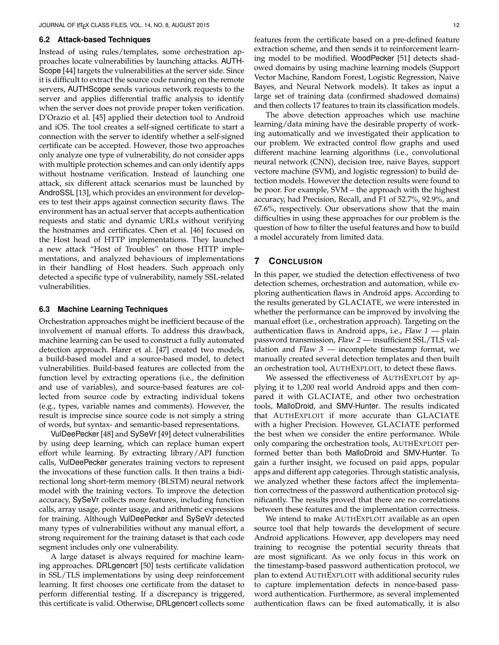## **6.2 Attack-based Techniques**

Instead of using rules/templates, some orchestration approaches locate vulnerabilities by launching attacks. AUTH-Scope [44] targets the vulnerabilities at the server side. Since it is difficult to extract the source code running on the remote servers, AUTHScope sends various network requests to the server and applies differential traffic analysis to identify when the server does not provide proper token verification. D'Orazio et al. [45] applied their detection tool to Android and iOS. The tool creates a self-signed certificate to start a connection with the server to identify whether a self-signed certificate can be accepted. However, those two approaches only analyze one type of vulnerability, do not consider apps with multiple protection schemes and can only identify apps without hostname verification. Instead of launching one attack, six different attack scenarios must be launched by AndroSSL [13], which provides an environment for developers to test their apps against connection security flaws. The environment has an actual server that accepts authentication requests and static and dynamic URLs without verifying the hostnames and certificates. Chen et al. [46] focused on the Host head of HTTP implementations. They launched a new attack "Host of Troubles" on those HTTP implementations, and analyzed behaviours of implementations in their handling of Host headers. Such approach only detected a specific type of vulnerability, namely SSL-related vulnerabilities.

## **6.3 Machine Learning Techniques**

Orchestration approaches might be inefficient because of the involvement of manual efforts. To address this drawback, machine learning can be used to construct a fully automated detection approach. Harer et al. [47] created two models, a build-based model and a source-based model, to detect vulnerabilities. Build-based features are collected from the function level by extracting operations (i.e., the definition and use of variables), and source-based features are collected from source code by extracting individual tokens (e.g., types, variable names and comments). However, the result is imprecise since source code is not simply a string of words, but syntax- and semantic-based representations.

VulDeePecker [48] and SySeVr [49] detect vulnerabilities by using deep learning, which can replace human expert effort while learning. By extracting library/API function calls, VulDeePecker generates training vectors to represent the invocations of these function calls. It then trains a bidirectional long short-term memory (BLSTM) neural network model with the training vectors. To improve the detection accuracy, SySeVr collects more features, including function calls, array usage, pointer usage, and arithmetic expressions for training. Although VulDeePecker and SySeVr detected many types of vulnerabilities without any manual effort, a strong requirement for the training dataset is that each code segment includes only one vulnerability.

A large dataset is always required for machine learning approaches. DRLgencert [50] tests certificate validation in SSL/TLS implementations by using deep reinforcement learning. It first chooses one certificate from the dataset to perform differential testing. If a discrepancy is triggered, this certificate is valid. Otherwise, DRLgencert collects some

features from the certificate based on a pre-defined feature extraction scheme, and then sends it to reinforcement learning model to be modified. WoodPecker [51] detects shadowed domains by using machine learning models (Support Vector Machine, Random Forest, Logistic Regression, Naive Bayes, and Neural Network models). It takes as input a large set of training data (confirmed shadowed domains) and then collects 17 features to train its classification models.

The above detection approaches which use machine learning/data mining have the desirable property of working automatically and we investigated their application to our problem. We extracted control flow graphs and used different machine learning algorithms (i.e., convolutional neural network (CNN), decision tree, naive Bayes, support vectore machine (SVM), and logistic regression) to build detection models. However the detection results were found to be poor. For example, SVM – the approach with the highest accuracy, had Precision, Recall, and F1 of 52.7%, 92.9%, and 67.6%, respectively. Our observations show that the main difficulties in using these approaches for our problem is the question of how to filter the useful features and how to build a model accurately from limited data.

## **7 CONCLUSION**

In this paper, we studied the detection effectiveness of two detection schemes, orchestration and automation, while exploring authentication flaws in Android apps. According to the results generated by GLACIATE, we were interested in whether the performance can be improved by involving the manual effort (i.e., orchestration approach). Targeting on the authentication flaws in Android apps, i.e.,  $Flaw 1$  - plain password transmission, Flaw 2 — insufficient SSL/TLS validation and Flaw  $3$  — incomplete timestamp format, we manually created several detection templates and then built an orchestration tool, AUTHEXPLOIT, to detect these flaws.

We assessed the effectiveness of AUTHEXPLOIT by applying it to 1,200 real world Android apps and then compared it with GLACIATE, and other two orchestration tools, MalloDroid, and SMV-Hunter. The results indicated that AUTHEXPLOIT if more accurate than GLACIATE with a higher Precision. However, GLACIATE performed the best when we consider the entire performance. While only comparing the orchestration tools, AUTHEXPLOIT performed better than both MalloDroid and SMV-Hunter. To gain a further insight, we focused on paid apps, popular apps and different app categories. Through statistic analysis, we analyzed whether these factors affect the implementation correctness of the password authentication protocol significantly. The results proved that there are no correlations between these features and the implementation correctness.

We intend to make AUTHEXPLOIT available as an open source tool that help towards the development of secure Android applications. However, app developers may need training to recognise the potential security threats that are most significant. As we only focus in this work on the timestamp-based password authentication protocol, we plan to extend AUTHEXPLOIT with additional security rules to capture implementation defects in nonce-based password authentication. Furthermore, as several implemented authentication flaws can be fixed automatically, it is also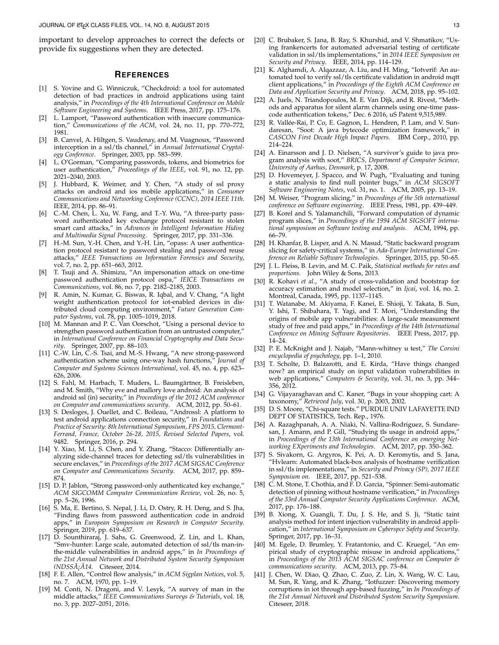important to develop approaches to correct the defects or provide fix suggestions when they are detected.

#### **REFERENCES**

- [1] S. Yovine and G. Winniczuk, "Checkdroid: a tool for automated detection of bad practices in android applications using taint analysis," in *Proceedings of the 4th International Conference on Mobile Software Engineering and Systems*. IEEE Press, 2017, pp. 175–176.
- [2] L. Lamport, "Password authentication with insecure communication," *Communications of the ACM*, vol. 24, no. 11, pp. 770–772, 1981.
- [3] B. Canvel, A. Hiltgen, S. Vaudenay, and M. Vuagnoux, "Password interception in a ssl/tls channel," in *Annual International Cryptology Conference*. Springer, 2003, pp. 583–599.
- [4] L. O'Gorman, "Comparing passwords, tokens, and biometrics for user authentication," *Proceedings of the IEEE*, vol. 91, no. 12, pp. 2021–2040, 2003.
- J. Hubbard, K. Weimer, and Y. Chen, "A study of ssl proxy attacks on android and ios mobile applications," in *Consumer Communications and Networking Conference (CCNC), 2014 IEEE 11th*. IEEE, 2014, pp. 86–91.
- [6] C.-M. Chen, L. Xu, W. Fang, and T.-Y. Wu, "A three-party password authenticated key exchange protocol resistant to stolen smart card attacks," in *Advances in Intelligent Information Hiding and Multimedia Signal Processing*. Springer, 2017, pp. 331–336.
- [7] H.-M. Sun, Y.-H. Chen, and Y.-H. Lin, "opass: A user authentication protocol resistant to password stealing and password reuse attacks," *IEEE Transactions on Information Forensics and Security*, vol. 7, no. 2, pp. 651–663, 2012.
- [8] T. Tsuji and A. Shimizu, "An impersonation attack on one-time password authentication protocol ospa," *IEICE Transactions on Communications*, vol. 86, no. 7, pp. 2182–2185, 2003.
- [9] R. Amin, N. Kumar, G. Biswas, R. Iqbal, and V. Chang, "A light weight authentication protocol for iot-enabled devices in distributed cloud computing environment," *Future Generation Computer Systems*, vol. 78, pp. 1005–1019, 2018.
- [10] M. Mannan and P. C. Van Oorschot, "Using a personal device to strengthen password authentication from an untrusted computer," in *International Conference on Financial Cryptography and Data Security*. Springer, 2007, pp. 88–103.
- [11] C.-W. Lin, C.-S. Tsai, and M.-S. Hwang, "A new strong-password authentication scheme using one-way hash functions." *Journal of* authentication scheme using one-way hash functions,' *Computer and Systems Sciences International*, vol. 45, no. 4, pp. 623– 626, 2006.
- [12] S. Fahl, M. Harbach, T. Muders, L. Baumgärtner, B. Freisleben, and M. Smith, "Why eve and mallory love android: An analysis of android ssl (in) security," in *Proceedings of the 2012 ACM conference on Computer and communications security*. ACM, 2012, pp. 50–61.
- [13] S. Desloges, J. Ouellet, and C. Boileau, "Androssl: A platform to test android applications connection security," in *Foundations and Practice of Security: 8th International Symposium, FPS 2015, Clermont-Ferrand, France, October 26-28, 2015, Revised Selected Papers*, vol. 9482. Springer, 2016, p. 294.
- [14] Y. Xiao, M. Li, S. Chen, and Y. Zhang, "Stacco: Differentially analyzing side-channel traces for detecting ssl/tls vulnerabilities in secure enclaves," in *Proceedings of the 2017 ACM SIGSAC Conference on Computer and Communications Security*. ACM, 2017, pp. 859– 874.
- [15] D. P. Jablon, "Strong password-only authenticated key exchange," *ACM SIGCOMM Computer Communication Review*, vol. 26, no. 5, pp. 5–26, 1996.
- [16] S. Ma, E. Bertino, S. Nepal, J. Li, D. Ostry, R. H. Deng, and S. Jha, "Finding flaws from password authentication code in android apps," in *European Symposium on Research in Computer Security*. Springer, 2019, pp. 619–637.
- [17] D. Sounthiraraj, J. Sahs, G. Greenwood, Z. Lin, and L. Khan, "Smv-hunter: Large scale, automated detection of ssl/tls man-inthe-middle vulnerabilities in android apps," in *In Proceedings of the 21st Annual Network and Distributed System Security Symposium (NDSSA¡ˆ A14 ˆ* . Citeseer, 2014.
- [18] F. E. Allen, "Control flow analysis," in *ACM Sigplan Notices*, vol. 5, no. 7. ACM, 1970, pp. 1–19.
- [19] M. Conti, N. Dragoni, and V. Lesyk, "A survey of man in the middle attacks," *IEEE Communications Surveys & Tutorials*, vol. 18, no. 3, pp. 2027–2051, 2016.
- [20] C. Brubaker, S. Jana, B. Ray, S. Khurshid, and V. Shmatikov, "Using frankencerts for automated adversarial testing of certificate validation in ssl/tls implementations," in *2014 IEEE Symposium on Security and Privacy*. IEEE, 2014, pp. 114–129.
- [21] K. Alghamdi, A. Alqazzaz, A. Liu, and H. Ming, "Iotverif: An automated tool to verify ssl/tls certificate validation in android mqtt client applications," in *Proceedings of the Eighth ACM Conference on Data and Application Security and Privacy*. ACM, 2018, pp. 95–102.
- [22] A. Juels, N. Triandopoulos, M. E. Van Dijk, and R. Rivest, "Methods and apparatus for silent alarm channels using one-time passcode authentication tokens," Dec. 6 2016, uS Patent 9,515,989.
- [23] R. Vallée-Rai, P. Co, E. Gagnon, L. Hendren, P. Lam, and V. Sundaresan, "Soot: A java bytecode optimization framework," in *CASCON First Decade High Impact Papers*. IBM Corp., 2010, pp. 214–224.
- [24] A. Einarsson and J. D. Nielsen, "A survivor's guide to java program analysis with soot," *BRICS, Department of Computer Science, University of Aarhus, Denmark*, p. 17, 2008.
- [25] D. Hovemeyer, J. Spacco, and W. Pugh, "Evaluating and tuning a static analysis to find null pointer bugs," in *ACM SIGSOFT Software Engineering Notes*, vol. 31, no. 1. ACM, 2005, pp. 13–19.
- [26] M. Weiser, "Program slicing," in *Proceedings of the 5th international conference on Software engineering*. IEEE Press, 1981, pp. 439–449.
- [27] B. Korel and S. Yalamanchili, "Forward computation of dynamic program slices," in *Proceedings of the 1994 ACM SIGSOFT international symposium on Software testing and analysis*. ACM, 1994, pp. 66–79.
- [28] H. Khanfar, B. Lisper, and A. N. Masud, "Static backward program slicing for safety-critical systems," in *Ada-Europe International Conference on Reliable Software Technologies*. Springer, 2015, pp. 50–65.
- [29] J. L. Fleiss, B. Levin, and M. C. Paik, *Statistical methods for rates and proportions*. John Wiley & Sons, 2013.
- [30] R. Kohavi *et al.*, "A study of cross-validation and bootstrap for accuracy estimation and model selection," in *Ijcai*, vol. 14, no. 2. Montreal, Canada, 1995, pp. 1137–1145.
- [31] T. Watanabe, M. Akiyama, F. Kanei, E. Shioji, Y. Takata, B. Sun, Y. Ishi, T. Shibahara, T. Yagi, and T. Mori, "Understanding the origins of mobile app vulnerabilities: A large-scale measurement study of free and paid apps," in *Proceedings of the 14th International Conference on Mining Software Repositories*. IEEE Press, 2017, pp. 14–24.
- [32] P. E. McKnight and J. Najab, "Mann-whitney u test," *The Corsini encyclopedia of psychology*, pp. 1–1, 2010.
- [33] T. Scholte, D. Balzarotti, and E. Kirda, "Have things changed now? an empirical study on input validation vulnerabilities in web applications," *Computers & Security*, vol. 31, no. 3, pp. 344– 356, 2012.
- [34] G. Vijayaraghavan and C. Kaner, "Bugs in your shopping cart: A taxonomy," *Retrieved July*, vol. 30, p. 2003, 2002.
- [35] D. S. Moore, "Chi-square tests." PURDUE UNIV LAFAYETTE IND DEPT OF STATISTICS, Tech. Rep., 1976.
- [36] A. Razaghpanah, A. A. Niaki, N. Vallina-Rodriguez, S. Sundaresan, J. Amann, and P. Gill, "Studying tls usage in android apps," in *Proceedings of the 13th International Conference on emerging Networking EXperiments and Technologies*. ACM, 2017, pp. 350–362.
- [37] S. Sivakorn, G. Argyros, K. Pei, A. D. Keromytis, and S. Jana, "Hvlearn: Automated black-box analysis of hostname verification in ssl/tls implementations," in *Security and Privacy (SP), 2017 IEEE Symposium on*. IEEE, 2017, pp. 521–538.
- [38] C. M. Stone, T. Chothia, and F. D. Garcia, "Spinner: Semi-automatic detection of pinning without hostname verification," in *Proceedings of the 33rd Annual Computer Security Applications Conference*. ACM, 2017, pp. 176–188.
- [39] B. Xiong, X. Guangli, T. Du, J. S. He, and S. Ji, "Static taint analysis method for intent injection vulnerability in android application," in *International Symposium on Cyberspce Safety and Security*. Springer, 2017, pp. 16–31.
- [40] M. Egele, D. Brumley, Y. Fratantonio, and C. Kruegel, "An empirical study of cryptographic misuse in android applications," in *Proceedings of the 2013 ACM SIGSAC conference on Computer & communications security*. ACM, 2013, pp. 73–84.
- [41] J. Chen, W. Diao, Q. Zhao, C. Zuo, Z. Lin, X. Wang, W. C. Lau, M. Sun, R. Yang, and K. Zhang, "Iotfuzzer: Discovering memory corruptions in iot through app-based fuzzing," in *In Proceedings of the 21st Annual Network and Distributed System Security Symposium*. Citeseer, 2018.